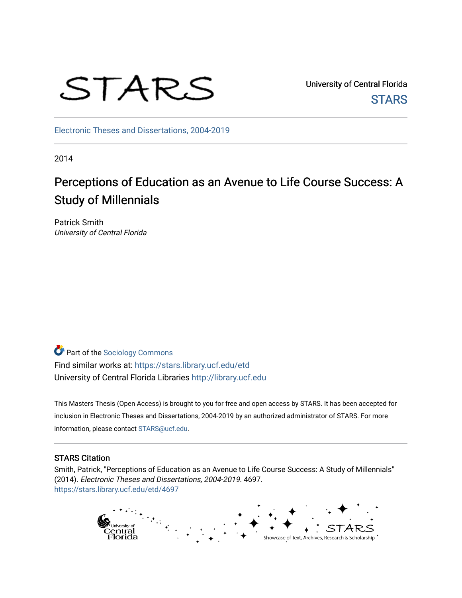

University of Central Florida **STARS** 

[Electronic Theses and Dissertations, 2004-2019](https://stars.library.ucf.edu/etd) 

2014

# Perceptions of Education as an Avenue to Life Course Success: A Study of Millennials

Patrick Smith University of Central Florida

Part of the [Sociology Commons](http://network.bepress.com/hgg/discipline/416?utm_source=stars.library.ucf.edu%2Fetd%2F4697&utm_medium=PDF&utm_campaign=PDFCoverPages) Find similar works at: <https://stars.library.ucf.edu/etd> University of Central Florida Libraries [http://library.ucf.edu](http://library.ucf.edu/) 

This Masters Thesis (Open Access) is brought to you for free and open access by STARS. It has been accepted for inclusion in Electronic Theses and Dissertations, 2004-2019 by an authorized administrator of STARS. For more information, please contact [STARS@ucf.edu.](mailto:STARS@ucf.edu)

#### STARS Citation

Smith, Patrick, "Perceptions of Education as an Avenue to Life Course Success: A Study of Millennials" (2014). Electronic Theses and Dissertations, 2004-2019. 4697. [https://stars.library.ucf.edu/etd/4697](https://stars.library.ucf.edu/etd/4697?utm_source=stars.library.ucf.edu%2Fetd%2F4697&utm_medium=PDF&utm_campaign=PDFCoverPages) 

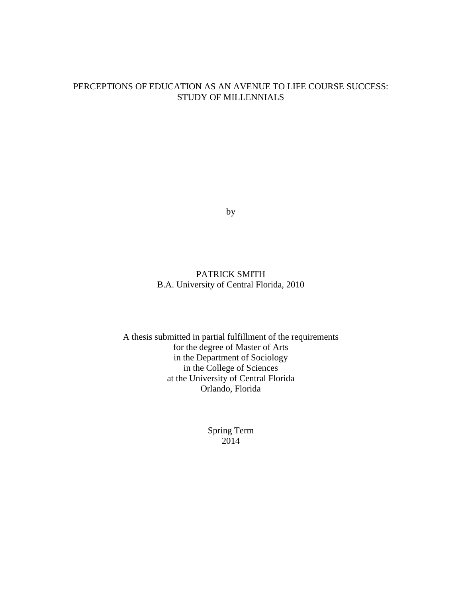### PERCEPTIONS OF EDUCATION AS AN AVENUE TO LIFE COURSE SUCCESS: STUDY OF MILLENNIALS

by

## PATRICK SMITH B.A. University of Central Florida, 2010

A thesis submitted in partial fulfillment of the requirements for the degree of Master of Arts in the Department of Sociology in the College of Sciences at the University of Central Florida Orlando, Florida

> Spring Term 2014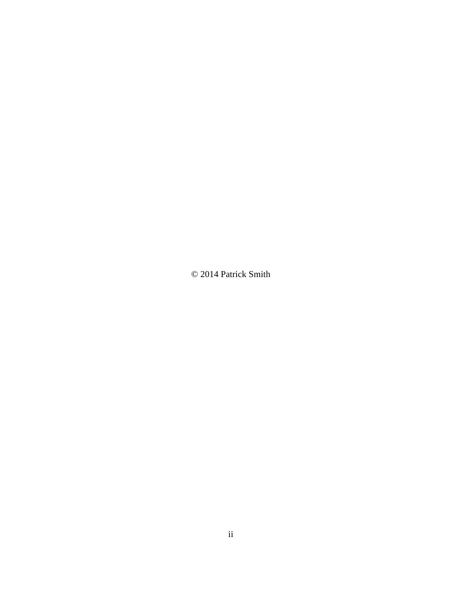© 2014 Patrick Smith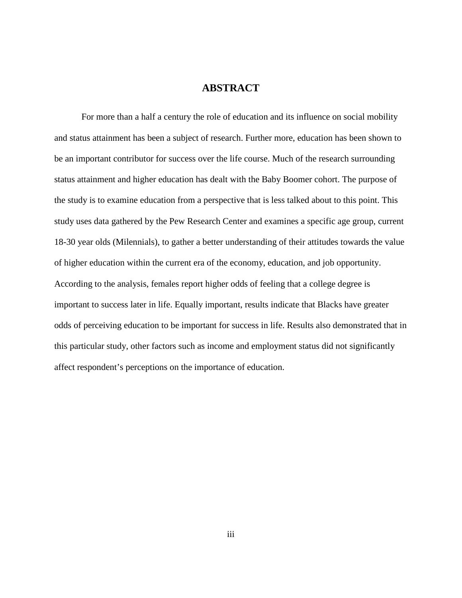## **ABSTRACT**

For more than a half a century the role of education and its influence on social mobility and status attainment has been a subject of research. Further more, education has been shown to be an important contributor for success over the life course. Much of the research surrounding status attainment and higher education has dealt with the Baby Boomer cohort. The purpose of the study is to examine education from a perspective that is less talked about to this point. This study uses data gathered by the Pew Research Center and examines a specific age group, current 18-30 year olds (Milennials), to gather a better understanding of their attitudes towards the value of higher education within the current era of the economy, education, and job opportunity. According to the analysis, females report higher odds of feeling that a college degree is important to success later in life. Equally important, results indicate that Blacks have greater odds of perceiving education to be important for success in life. Results also demonstrated that in this particular study, other factors such as income and employment status did not significantly affect respondent's perceptions on the importance of education.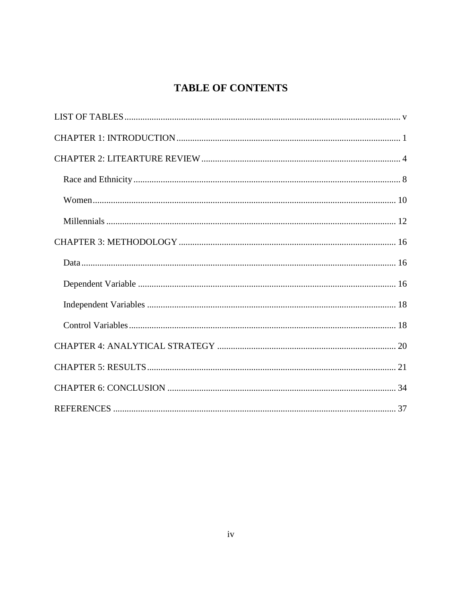## **TABLE OF CONTENTS**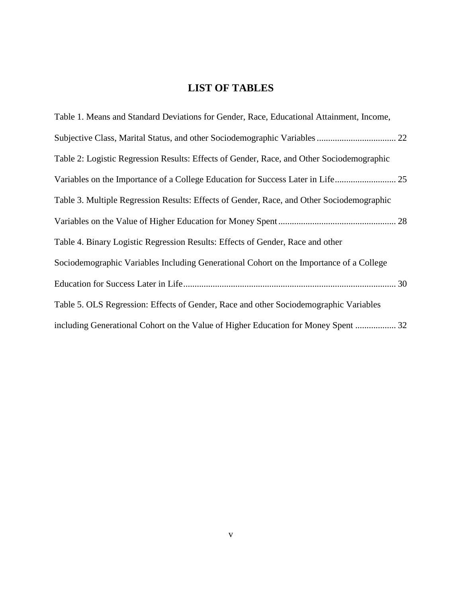## **LIST OF TABLES**

<span id="page-5-0"></span>

| Table 1. Means and Standard Deviations for Gender, Race, Educational Attainment, Income,  |
|-------------------------------------------------------------------------------------------|
|                                                                                           |
| Table 2: Logistic Regression Results: Effects of Gender, Race, and Other Sociodemographic |
| Variables on the Importance of a College Education for Success Later in Life 25           |
| Table 3. Multiple Regression Results: Effects of Gender, Race, and Other Sociodemographic |
|                                                                                           |
| Table 4. Binary Logistic Regression Results: Effects of Gender, Race and other            |
| Sociodemographic Variables Including Generational Cohort on the Importance of a College   |
|                                                                                           |
| Table 5. OLS Regression: Effects of Gender, Race and other Sociodemographic Variables     |
| including Generational Cohort on the Value of Higher Education for Money Spent  32        |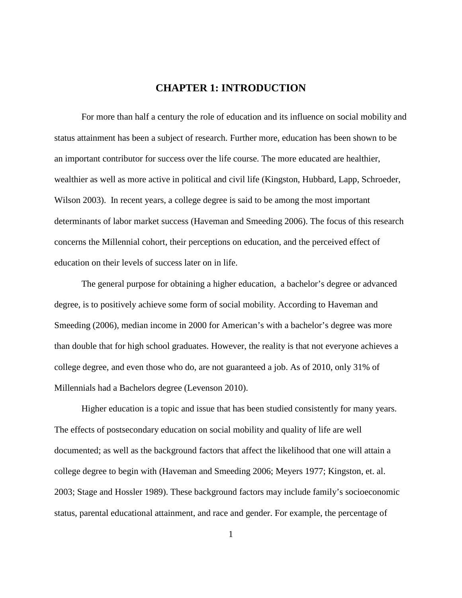## **CHAPTER 1: INTRODUCTION**

<span id="page-6-0"></span>For more than half a century the role of education and its influence on social mobility and status attainment has been a subject of research. Further more, education has been shown to be an important contributor for success over the life course. The more educated are healthier, wealthier as well as more active in political and civil life (Kingston, Hubbard, Lapp, Schroeder, Wilson 2003). In recent years, a college degree is said to be among the most important determinants of labor market success (Haveman and Smeeding 2006). The focus of this research concerns the Millennial cohort, their perceptions on education, and the perceived effect of education on their levels of success later on in life.

The general purpose for obtaining a higher education, a bachelor's degree or advanced degree, is to positively achieve some form of social mobility. According to Haveman and Smeeding (2006), median income in 2000 for American's with a bachelor's degree was more than double that for high school graduates. However, the reality is that not everyone achieves a college degree, and even those who do, are not guaranteed a job. As of 2010, only 31% of Millennials had a Bachelors degree (Levenson 2010).

Higher education is a topic and issue that has been studied consistently for many years. The effects of postsecondary education on social mobility and quality of life are well documented; as well as the background factors that affect the likelihood that one will attain a college degree to begin with (Haveman and Smeeding 2006; Meyers 1977; Kingston, et. al. 2003; Stage and Hossler 1989). These background factors may include family's socioeconomic status, parental educational attainment, and race and gender. For example, the percentage of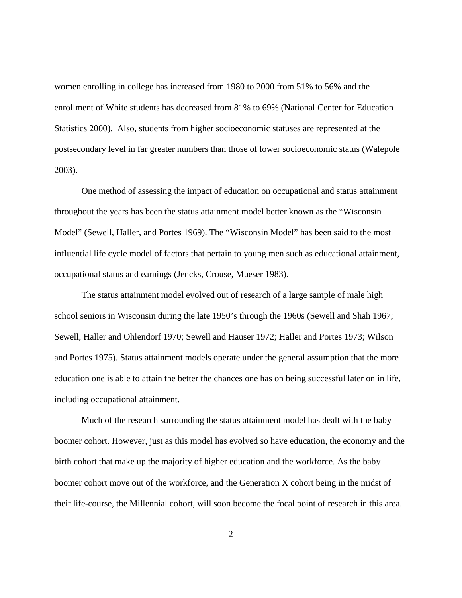women enrolling in college has increased from 1980 to 2000 from 51% to 56% and the enrollment of White students has decreased from 81% to 69% (National Center for Education Statistics 2000). Also, students from higher socioeconomic statuses are represented at the postsecondary level in far greater numbers than those of lower socioeconomic status (Walepole 2003).

One method of assessing the impact of education on occupational and status attainment throughout the years has been the status attainment model better known as the "Wisconsin Model" (Sewell, Haller, and Portes 1969). The "Wisconsin Model" has been said to the most influential life cycle model of factors that pertain to young men such as educational attainment, occupational status and earnings (Jencks, Crouse, Mueser 1983).

The status attainment model evolved out of research of a large sample of male high school seniors in Wisconsin during the late 1950's through the 1960s (Sewell and Shah 1967; Sewell, Haller and Ohlendorf 1970; Sewell and Hauser 1972; Haller and Portes 1973; Wilson and Portes 1975). Status attainment models operate under the general assumption that the more education one is able to attain the better the chances one has on being successful later on in life, including occupational attainment.

Much of the research surrounding the status attainment model has dealt with the baby boomer cohort. However, just as this model has evolved so have education, the economy and the birth cohort that make up the majority of higher education and the workforce. As the baby boomer cohort move out of the workforce, and the Generation X cohort being in the midst of their life-course, the Millennial cohort, will soon become the focal point of research in this area.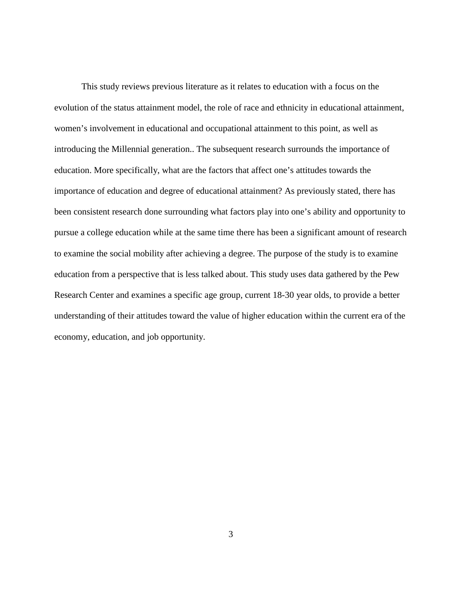This study reviews previous literature as it relates to education with a focus on the evolution of the status attainment model, the role of race and ethnicity in educational attainment, women's involvement in educational and occupational attainment to this point, as well as introducing the Millennial generation.. The subsequent research surrounds the importance of education. More specifically, what are the factors that affect one's attitudes towards the importance of education and degree of educational attainment? As previously stated, there has been consistent research done surrounding what factors play into one's ability and opportunity to pursue a college education while at the same time there has been a significant amount of research to examine the social mobility after achieving a degree. The purpose of the study is to examine education from a perspective that is less talked about. This study uses data gathered by the Pew Research Center and examines a specific age group, current 18-30 year olds, to provide a better understanding of their attitudes toward the value of higher education within the current era of the economy, education, and job opportunity.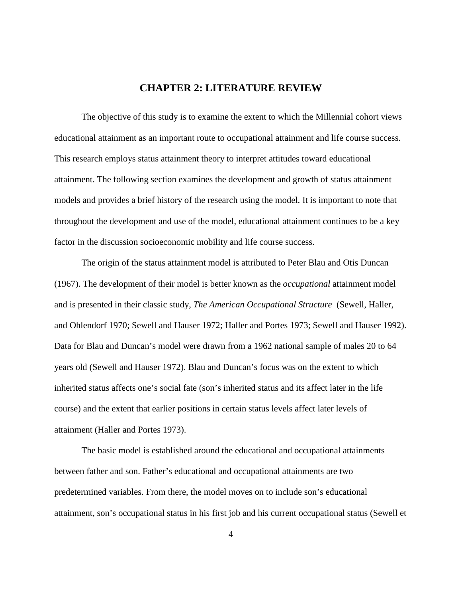## **CHAPTER 2: LITERATURE REVIEW**

<span id="page-9-0"></span>The objective of this study is to examine the extent to which the Millennial cohort views educational attainment as an important route to occupational attainment and life course success. This research employs status attainment theory to interpret attitudes toward educational attainment. The following section examines the development and growth of status attainment models and provides a brief history of the research using the model. It is important to note that throughout the development and use of the model, educational attainment continues to be a key factor in the discussion socioeconomic mobility and life course success.

The origin of the status attainment model is attributed to Peter Blau and Otis Duncan (1967). The development of their model is better known as the *occupational* attainment model and is presented in their classic study, *The American Occupational Structure* (Sewell, Haller, and Ohlendorf 1970; Sewell and Hauser 1972; Haller and Portes 1973; Sewell and Hauser 1992). Data for Blau and Duncan's model were drawn from a 1962 national sample of males 20 to 64 years old (Sewell and Hauser 1972). Blau and Duncan's focus was on the extent to which inherited status affects one's social fate (son's inherited status and its affect later in the life course) and the extent that earlier positions in certain status levels affect later levels of attainment (Haller and Portes 1973).

The basic model is established around the educational and occupational attainments between father and son. Father's educational and occupational attainments are two predetermined variables. From there, the model moves on to include son's educational attainment, son's occupational status in his first job and his current occupational status (Sewell et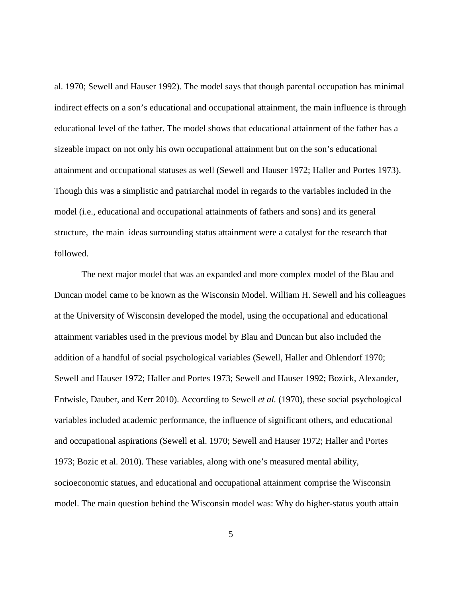al. 1970; Sewell and Hauser 1992). The model says that though parental occupation has minimal indirect effects on a son's educational and occupational attainment, the main influence is through educational level of the father. The model shows that educational attainment of the father has a sizeable impact on not only his own occupational attainment but on the son's educational attainment and occupational statuses as well (Sewell and Hauser 1972; Haller and Portes 1973). Though this was a simplistic and patriarchal model in regards to the variables included in the model (i.e., educational and occupational attainments of fathers and sons) and its general structure, the main ideas surrounding status attainment were a catalyst for the research that followed.

The next major model that was an expanded and more complex model of the Blau and Duncan model came to be known as the Wisconsin Model. William H. Sewell and his colleagues at the University of Wisconsin developed the model, using the occupational and educational attainment variables used in the previous model by Blau and Duncan but also included the addition of a handful of social psychological variables (Sewell, Haller and Ohlendorf 1970; Sewell and Hauser 1972; Haller and Portes 1973; Sewell and Hauser 1992; Bozick, Alexander, Entwisle, Dauber, and Kerr 2010). According to Sewell *et al.* (1970), these social psychological variables included academic performance, the influence of significant others, and educational and occupational aspirations (Sewell et al. 1970; Sewell and Hauser 1972; Haller and Portes 1973; Bozic et al. 2010). These variables, along with one's measured mental ability, socioeconomic statues, and educational and occupational attainment comprise the Wisconsin model. The main question behind the Wisconsin model was: Why do higher-status youth attain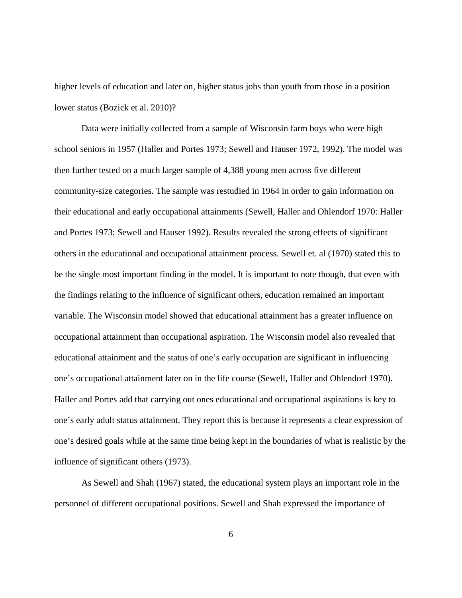higher levels of education and later on, higher status jobs than youth from those in a position lower status (Bozick et al. 2010)?

Data were initially collected from a sample of Wisconsin farm boys who were high school seniors in 1957 (Haller and Portes 1973; Sewell and Hauser 1972, 1992). The model was then further tested on a much larger sample of 4,388 young men across five different community-size categories. The sample was restudied in 1964 in order to gain information on their educational and early occupational attainments (Sewell, Haller and Ohlendorf 1970: Haller and Portes 1973; Sewell and Hauser 1992). Results revealed the strong effects of significant others in the educational and occupational attainment process. Sewell et. al (1970) stated this to be the single most important finding in the model. It is important to note though, that even with the findings relating to the influence of significant others, education remained an important variable. The Wisconsin model showed that educational attainment has a greater influence on occupational attainment than occupational aspiration. The Wisconsin model also revealed that educational attainment and the status of one's early occupation are significant in influencing one's occupational attainment later on in the life course (Sewell, Haller and Ohlendorf 1970). Haller and Portes add that carrying out ones educational and occupational aspirations is key to one's early adult status attainment. They report this is because it represents a clear expression of one's desired goals while at the same time being kept in the boundaries of what is realistic by the influence of significant others (1973).

As Sewell and Shah (1967) stated, the educational system plays an important role in the personnel of different occupational positions. Sewell and Shah expressed the importance of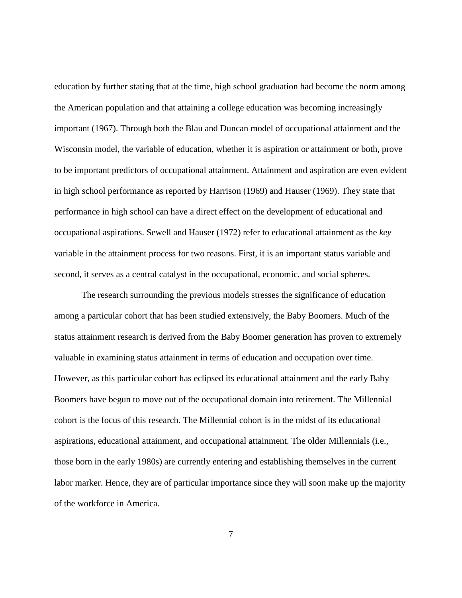education by further stating that at the time, high school graduation had become the norm among the American population and that attaining a college education was becoming increasingly important (1967). Through both the Blau and Duncan model of occupational attainment and the Wisconsin model, the variable of education, whether it is aspiration or attainment or both, prove to be important predictors of occupational attainment. Attainment and aspiration are even evident in high school performance as reported by Harrison (1969) and Hauser (1969). They state that performance in high school can have a direct effect on the development of educational and occupational aspirations. Sewell and Hauser (1972) refer to educational attainment as the *key*  variable in the attainment process for two reasons. First, it is an important status variable and second, it serves as a central catalyst in the occupational, economic, and social spheres.

The research surrounding the previous models stresses the significance of education among a particular cohort that has been studied extensively, the Baby Boomers. Much of the status attainment research is derived from the Baby Boomer generation has proven to extremely valuable in examining status attainment in terms of education and occupation over time. However, as this particular cohort has eclipsed its educational attainment and the early Baby Boomers have begun to move out of the occupational domain into retirement. The Millennial cohort is the focus of this research. The Millennial cohort is in the midst of its educational aspirations, educational attainment, and occupational attainment. The older Millennials (i.e., those born in the early 1980s) are currently entering and establishing themselves in the current labor marker. Hence, they are of particular importance since they will soon make up the majority of the workforce in America.

7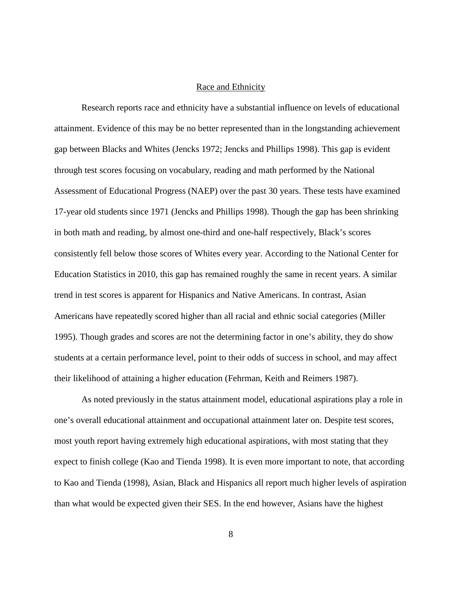#### Race and Ethnicity

<span id="page-13-0"></span>Research reports race and ethnicity have a substantial influence on levels of educational attainment. Evidence of this may be no better represented than in the longstanding achievement gap between Blacks and Whites (Jencks 1972; Jencks and Phillips 1998). This gap is evident through test scores focusing on vocabulary, reading and math performed by the National Assessment of Educational Progress (NAEP) over the past 30 years. These tests have examined 17-year old students since 1971 (Jencks and Phillips 1998). Though the gap has been shrinking in both math and reading, by almost one-third and one-half respectively, Black's scores consistently fell below those scores of Whites every year. According to the National Center for Education Statistics in 2010, this gap has remained roughly the same in recent years. A similar trend in test scores is apparent for Hispanics and Native Americans. In contrast, Asian Americans have repeatedly scored higher than all racial and ethnic social categories (Miller 1995). Though grades and scores are not the determining factor in one's ability, they do show students at a certain performance level, point to their odds of success in school, and may affect their likelihood of attaining a higher education (Fehrman, Keith and Reimers 1987).

As noted previously in the status attainment model, educational aspirations play a role in one's overall educational attainment and occupational attainment later on. Despite test scores, most youth report having extremely high educational aspirations, with most stating that they expect to finish college (Kao and Tienda 1998). It is even more important to note, that according to Kao and Tienda (1998), Asian, Black and Hispanics all report much higher levels of aspiration than what would be expected given their SES. In the end however, Asians have the highest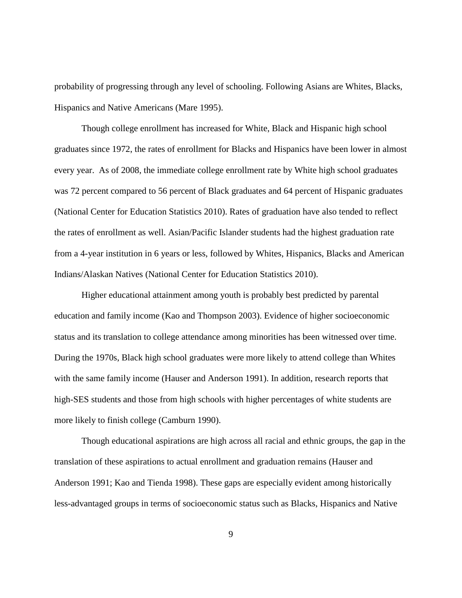probability of progressing through any level of schooling. Following Asians are Whites, Blacks, Hispanics and Native Americans (Mare 1995).

Though college enrollment has increased for White, Black and Hispanic high school graduates since 1972, the rates of enrollment for Blacks and Hispanics have been lower in almost every year. As of 2008, the immediate college enrollment rate by White high school graduates was 72 percent compared to 56 percent of Black graduates and 64 percent of Hispanic graduates (National Center for Education Statistics 2010). Rates of graduation have also tended to reflect the rates of enrollment as well. Asian/Pacific Islander students had the highest graduation rate from a 4-year institution in 6 years or less, followed by Whites, Hispanics, Blacks and American Indians/Alaskan Natives (National Center for Education Statistics 2010).

Higher educational attainment among youth is probably best predicted by parental education and family income (Kao and Thompson 2003). Evidence of higher socioeconomic status and its translation to college attendance among minorities has been witnessed over time. During the 1970s, Black high school graduates were more likely to attend college than Whites with the same family income (Hauser and Anderson 1991). In addition, research reports that high-SES students and those from high schools with higher percentages of white students are more likely to finish college (Camburn 1990).

Though educational aspirations are high across all racial and ethnic groups, the gap in the translation of these aspirations to actual enrollment and graduation remains (Hauser and Anderson 1991; Kao and Tienda 1998). These gaps are especially evident among historically less-advantaged groups in terms of socioeconomic status such as Blacks, Hispanics and Native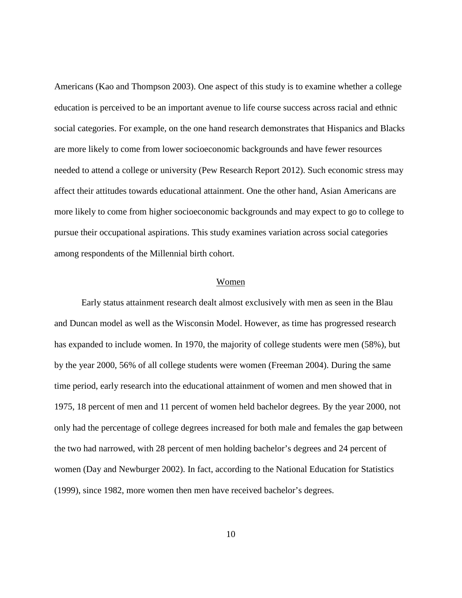Americans (Kao and Thompson 2003). One aspect of this study is to examine whether a college education is perceived to be an important avenue to life course success across racial and ethnic social categories. For example, on the one hand research demonstrates that Hispanics and Blacks are more likely to come from lower socioeconomic backgrounds and have fewer resources needed to attend a college or university (Pew Research Report 2012). Such economic stress may affect their attitudes towards educational attainment. One the other hand, Asian Americans are more likely to come from higher socioeconomic backgrounds and may expect to go to college to pursue their occupational aspirations. This study examines variation across social categories among respondents of the Millennial birth cohort.

#### Women

<span id="page-15-0"></span>Early status attainment research dealt almost exclusively with men as seen in the Blau and Duncan model as well as the Wisconsin Model. However, as time has progressed research has expanded to include women. In 1970, the majority of college students were men (58%), but by the year 2000, 56% of all college students were women (Freeman 2004). During the same time period, early research into the educational attainment of women and men showed that in 1975, 18 percent of men and 11 percent of women held bachelor degrees. By the year 2000, not only had the percentage of college degrees increased for both male and females the gap between the two had narrowed, with 28 percent of men holding bachelor's degrees and 24 percent of women (Day and Newburger 2002). In fact, according to the National Education for Statistics (1999), since 1982, more women then men have received bachelor's degrees.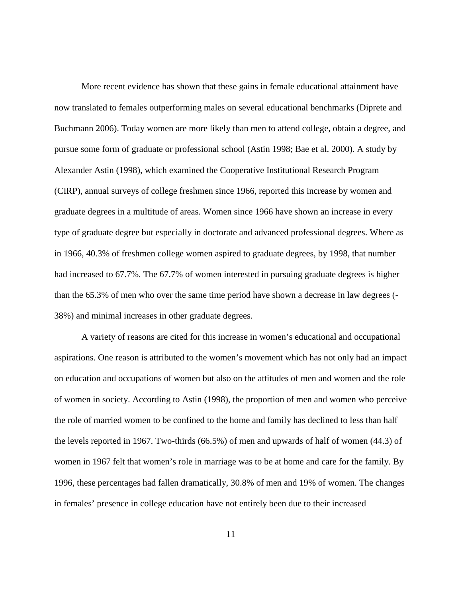More recent evidence has shown that these gains in female educational attainment have now translated to females outperforming males on several educational benchmarks (Diprete and Buchmann 2006). Today women are more likely than men to attend college, obtain a degree, and pursue some form of graduate or professional school (Astin 1998; Bae et al. 2000). A study by Alexander Astin (1998), which examined the Cooperative Institutional Research Program (CIRP), annual surveys of college freshmen since 1966, reported this increase by women and graduate degrees in a multitude of areas. Women since 1966 have shown an increase in every type of graduate degree but especially in doctorate and advanced professional degrees. Where as in 1966, 40.3% of freshmen college women aspired to graduate degrees, by 1998, that number had increased to 67.7%. The 67.7% of women interested in pursuing graduate degrees is higher than the 65.3% of men who over the same time period have shown a decrease in law degrees (- 38%) and minimal increases in other graduate degrees.

A variety of reasons are cited for this increase in women's educational and occupational aspirations. One reason is attributed to the women's movement which has not only had an impact on education and occupations of women but also on the attitudes of men and women and the role of women in society. According to Astin (1998), the proportion of men and women who perceive the role of married women to be confined to the home and family has declined to less than half the levels reported in 1967. Two-thirds (66.5%) of men and upwards of half of women (44.3) of women in 1967 felt that women's role in marriage was to be at home and care for the family. By 1996, these percentages had fallen dramatically, 30.8% of men and 19% of women. The changes in females' presence in college education have not entirely been due to their increased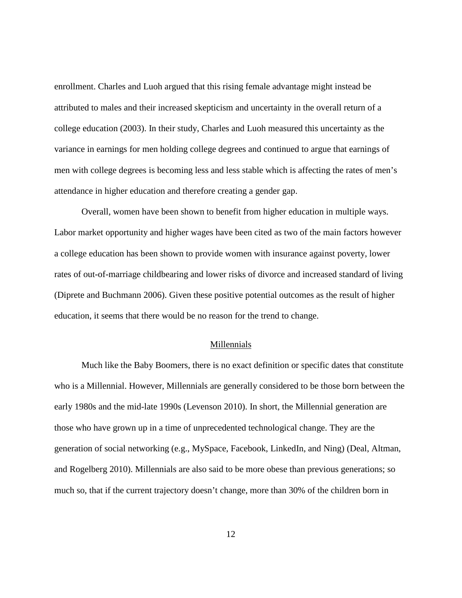enrollment. Charles and Luoh argued that this rising female advantage might instead be attributed to males and their increased skepticism and uncertainty in the overall return of a college education (2003). In their study, Charles and Luoh measured this uncertainty as the variance in earnings for men holding college degrees and continued to argue that earnings of men with college degrees is becoming less and less stable which is affecting the rates of men's attendance in higher education and therefore creating a gender gap.

Overall, women have been shown to benefit from higher education in multiple ways. Labor market opportunity and higher wages have been cited as two of the main factors however a college education has been shown to provide women with insurance against poverty, lower rates of out-of-marriage childbearing and lower risks of divorce and increased standard of living (Diprete and Buchmann 2006). Given these positive potential outcomes as the result of higher education, it seems that there would be no reason for the trend to change.

#### Millennials

<span id="page-17-0"></span>Much like the Baby Boomers, there is no exact definition or specific dates that constitute who is a Millennial. However, Millennials are generally considered to be those born between the early 1980s and the mid-late 1990s (Levenson 2010). In short, the Millennial generation are those who have grown up in a time of unprecedented technological change. They are the generation of social networking (e.g., MySpace, Facebook, LinkedIn, and Ning) (Deal, Altman, and Rogelberg 2010). Millennials are also said to be more obese than previous generations; so much so, that if the current trajectory doesn't change, more than 30% of the children born in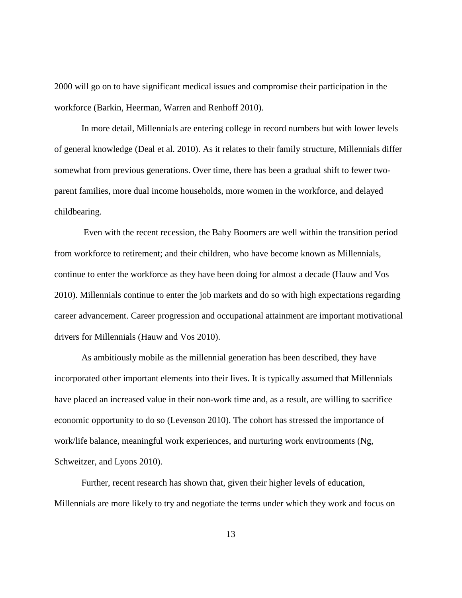2000 will go on to have significant medical issues and compromise their participation in the workforce (Barkin, Heerman, Warren and Renhoff 2010).

In more detail, Millennials are entering college in record numbers but with lower levels of general knowledge (Deal et al. 2010). As it relates to their family structure, Millennials differ somewhat from previous generations. Over time, there has been a gradual shift to fewer twoparent families, more dual income households, more women in the workforce, and delayed childbearing.

Even with the recent recession, the Baby Boomers are well within the transition period from workforce to retirement; and their children, who have become known as Millennials, continue to enter the workforce as they have been doing for almost a decade (Hauw and Vos 2010). Millennials continue to enter the job markets and do so with high expectations regarding career advancement. Career progression and occupational attainment are important motivational drivers for Millennials (Hauw and Vos 2010).

As ambitiously mobile as the millennial generation has been described, they have incorporated other important elements into their lives. It is typically assumed that Millennials have placed an increased value in their non-work time and, as a result, are willing to sacrifice economic opportunity to do so (Levenson 2010). The cohort has stressed the importance of work/life balance, meaningful work experiences, and nurturing work environments (Ng, Schweitzer, and Lyons 2010).

Further, recent research has shown that, given their higher levels of education, Millennials are more likely to try and negotiate the terms under which they work and focus on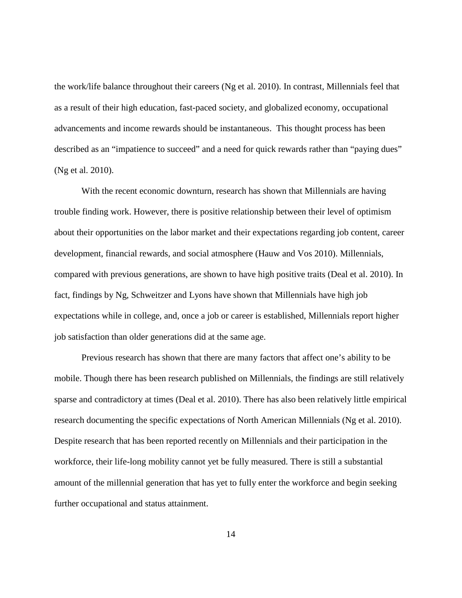the work/life balance throughout their careers (Ng et al. 2010). In contrast, Millennials feel that as a result of their high education, fast-paced society, and globalized economy, occupational advancements and income rewards should be instantaneous. This thought process has been described as an "impatience to succeed" and a need for quick rewards rather than "paying dues" (Ng et al. 2010).

With the recent economic downturn, research has shown that Millennials are having trouble finding work. However, there is positive relationship between their level of optimism about their opportunities on the labor market and their expectations regarding job content, career development, financial rewards, and social atmosphere (Hauw and Vos 2010). Millennials, compared with previous generations, are shown to have high positive traits (Deal et al. 2010). In fact, findings by Ng, Schweitzer and Lyons have shown that Millennials have high job expectations while in college, and, once a job or career is established, Millennials report higher job satisfaction than older generations did at the same age.

Previous research has shown that there are many factors that affect one's ability to be mobile. Though there has been research published on Millennials, the findings are still relatively sparse and contradictory at times (Deal et al. 2010). There has also been relatively little empirical research documenting the specific expectations of North American Millennials (Ng et al. 2010). Despite research that has been reported recently on Millennials and their participation in the workforce, their life-long mobility cannot yet be fully measured. There is still a substantial amount of the millennial generation that has yet to fully enter the workforce and begin seeking further occupational and status attainment.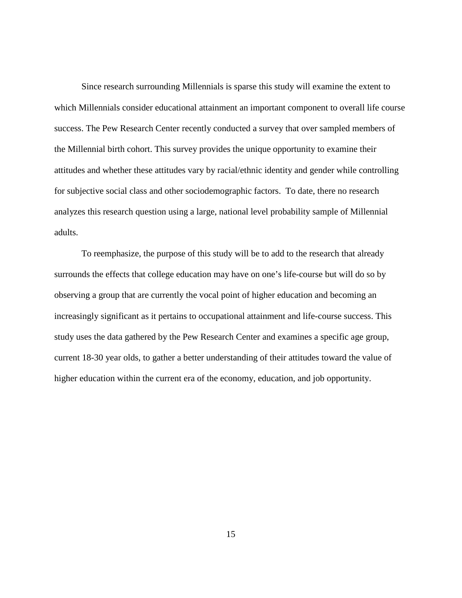Since research surrounding Millennials is sparse this study will examine the extent to which Millennials consider educational attainment an important component to overall life course success. The Pew Research Center recently conducted a survey that over sampled members of the Millennial birth cohort. This survey provides the unique opportunity to examine their attitudes and whether these attitudes vary by racial/ethnic identity and gender while controlling for subjective social class and other sociodemographic factors. To date, there no research analyzes this research question using a large, national level probability sample of Millennial adults.

To reemphasize, the purpose of this study will be to add to the research that already surrounds the effects that college education may have on one's life-course but will do so by observing a group that are currently the vocal point of higher education and becoming an increasingly significant as it pertains to occupational attainment and life-course success. This study uses the data gathered by the Pew Research Center and examines a specific age group, current 18-30 year olds, to gather a better understanding of their attitudes toward the value of higher education within the current era of the economy, education, and job opportunity.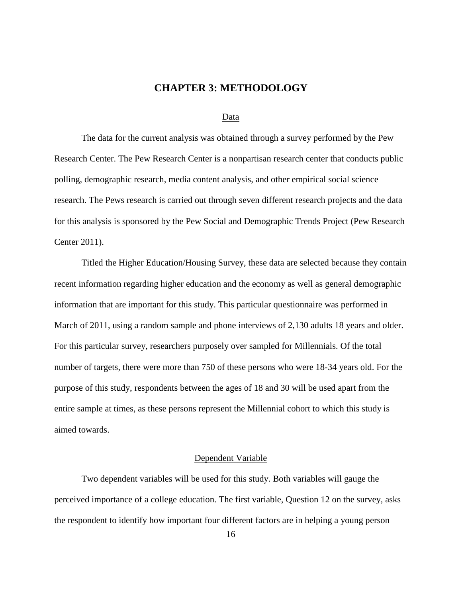## **CHAPTER 3: METHODOLOGY**

#### Data

<span id="page-21-1"></span><span id="page-21-0"></span>The data for the current analysis was obtained through a survey performed by the Pew Research Center. The Pew Research Center is a nonpartisan research center that conducts public polling, demographic research, media content analysis, and other empirical social science research. The Pews research is carried out through seven different research projects and the data for this analysis is sponsored by the Pew Social and Demographic Trends Project (Pew Research Center 2011).

Titled the Higher Education/Housing Survey, these data are selected because they contain recent information regarding higher education and the economy as well as general demographic information that are important for this study. This particular questionnaire was performed in March of 2011, using a random sample and phone interviews of 2,130 adults 18 years and older. For this particular survey, researchers purposely over sampled for Millennials. Of the total number of targets, there were more than 750 of these persons who were 18-34 years old. For the purpose of this study, respondents between the ages of 18 and 30 will be used apart from the entire sample at times, as these persons represent the Millennial cohort to which this study is aimed towards.

#### Dependent Variable

<span id="page-21-2"></span>Two dependent variables will be used for this study. Both variables will gauge the perceived importance of a college education. The first variable, Question 12 on the survey, asks the respondent to identify how important four different factors are in helping a young person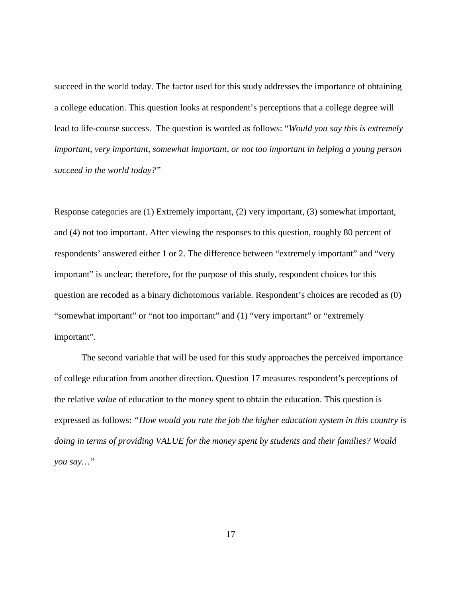succeed in the world today. The factor used for this study addresses the importance of obtaining a college education. This question looks at respondent's perceptions that a college degree will lead to life-course success. The question is worded as follows: "*Would you say this is extremely important, very important, somewhat important, or not too important in helping a young person succeed in the world today?"*

Response categories are (1) Extremely important, (2) very important, (3) somewhat important, and (4) not too important. After viewing the responses to this question, roughly 80 percent of respondents' answered either 1 or 2. The difference between "extremely important" and "very important" is unclear; therefore, for the purpose of this study, respondent choices for this question are recoded as a binary dichotomous variable. Respondent's choices are recoded as (0) "somewhat important" or "not too important" and (1) "very important" or "extremely important".

The second variable that will be used for this study approaches the perceived importance of college education from another direction. Question 17 measures respondent's perceptions of the relative *value* of education to the money spent to obtain the education. This question is expressed as follows: *"How would you rate the job the higher education system in this country is doing in terms of providing VALUE for the money spent by students and their families? Would you say…"*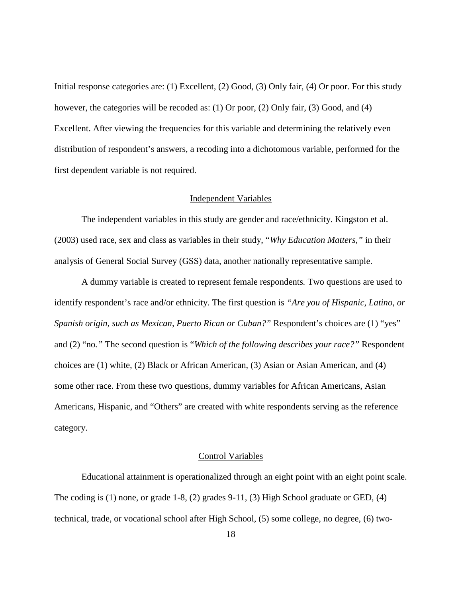Initial response categories are: (1) Excellent, (2) Good, (3) Only fair, (4) Or poor. For this study however, the categories will be recoded as: (1) Or poor, (2) Only fair, (3) Good, and (4) Excellent. After viewing the frequencies for this variable and determining the relatively even distribution of respondent's answers, a recoding into a dichotomous variable, performed for the first dependent variable is not required.

#### Independent Variables

<span id="page-23-0"></span>The independent variables in this study are gender and race/ethnicity. Kingston et al. (2003) used race, sex and class as variables in their study, "*Why Education Matters,"* in their analysis of General Social Survey (GSS) data, another nationally representative sample.

A dummy variable is created to represent female respondents*.* Two questions are used to identify respondent's race and/or ethnicity. The first question is *"Are you of Hispanic, Latino, or Spanish origin, such as Mexican, Puerto Rican or Cuban?"* Respondent's choices are (1) "yes" and (2) "no*."* The second question is "*Which of the following describes your race?"* Respondent choices are (1) white*,* (2) Black or African American, (3) Asian or Asian American, and (4) some other race. From these two questions, dummy variables for African Americans, Asian Americans, Hispanic, and "Others" are created with white respondents serving as the reference category.

#### Control Variables

<span id="page-23-1"></span>Educational attainment is operationalized through an eight point with an eight point scale. The coding is (1) none, or grade 1-8, (2) grades 9-11, (3) High School graduate or GED, (4) technical, trade, or vocational school after High School, (5) some college, no degree, (6) two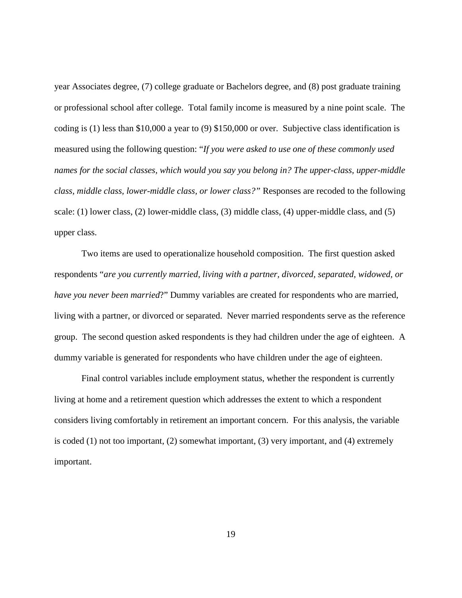year Associates degree, (7) college graduate or Bachelors degree, and (8) post graduate training or professional school after college. Total family income is measured by a nine point scale. The coding is (1) less than \$10,000 a year to (9) \$150,000 or over. Subjective class identification is measured using the following question: "*If you were asked to use one of these commonly used names for the social classes, which would you say you belong in? The upper-class, upper-middle class, middle class, lower-middle class, or lower class?"* Responses are recoded to the following scale: (1) lower class, (2) lower-middle class, (3) middle class, (4) upper-middle class, and (5) upper class.

Two items are used to operationalize household composition. The first question asked respondents "*are you currently married, living with a partner, divorced, separated, widowed, or have you never been married*?" Dummy variables are created for respondents who are married, living with a partner, or divorced or separated. Never married respondents serve as the reference group. The second question asked respondents is they had children under the age of eighteen. A dummy variable is generated for respondents who have children under the age of eighteen.

Final control variables include employment status, whether the respondent is currently living at home and a retirement question which addresses the extent to which a respondent considers living comfortably in retirement an important concern. For this analysis, the variable is coded (1) not too important, (2) somewhat important, (3) very important, and (4) extremely important.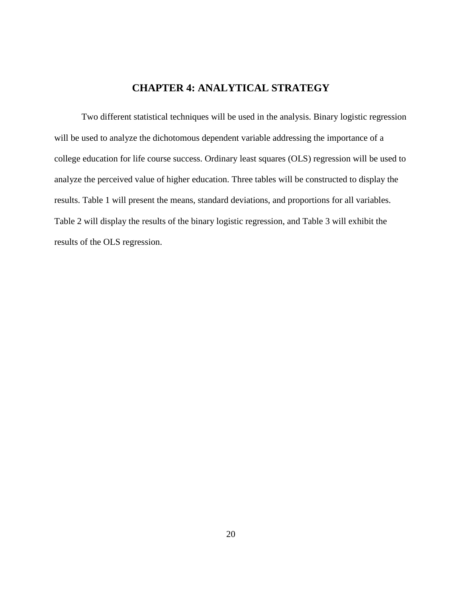## **CHAPTER 4: ANALYTICAL STRATEGY**

<span id="page-25-0"></span>Two different statistical techniques will be used in the analysis. Binary logistic regression will be used to analyze the dichotomous dependent variable addressing the importance of a college education for life course success. Ordinary least squares (OLS) regression will be used to analyze the perceived value of higher education. Three tables will be constructed to display the results. Table 1 will present the means, standard deviations, and proportions for all variables. Table 2 will display the results of the binary logistic regression, and Table 3 will exhibit the results of the OLS regression.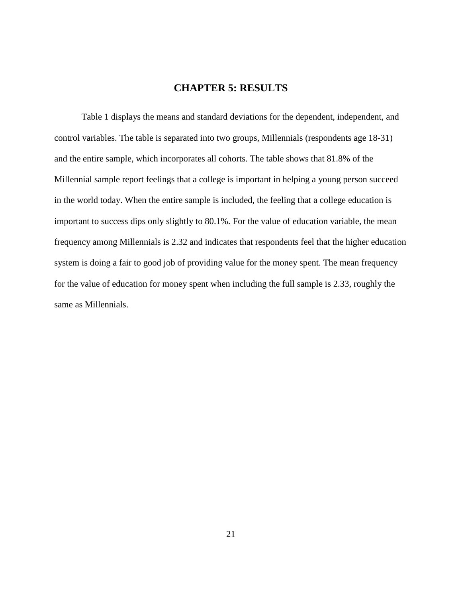## **CHAPTER 5: RESULTS**

<span id="page-26-0"></span>Table 1 displays the means and standard deviations for the dependent, independent, and control variables. The table is separated into two groups, Millennials (respondents age 18-31) and the entire sample, which incorporates all cohorts. The table shows that 81.8% of the Millennial sample report feelings that a college is important in helping a young person succeed in the world today. When the entire sample is included, the feeling that a college education is important to success dips only slightly to 80.1%. For the value of education variable, the mean frequency among Millennials is 2.32 and indicates that respondents feel that the higher education system is doing a fair to good job of providing value for the money spent. The mean frequency for the value of education for money spent when including the full sample is 2.33, roughly the same as Millennials.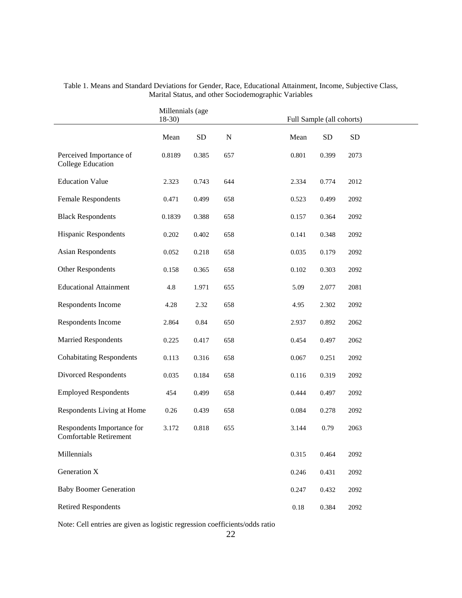|                                                             | Millennials (age<br>$18-30$ |           |             | Full Sample (all cohorts)      |
|-------------------------------------------------------------|-----------------------------|-----------|-------------|--------------------------------|
|                                                             | Mean                        | <b>SD</b> | $\mathbf N$ | Mean<br><b>SD</b><br><b>SD</b> |
| Perceived Importance of<br>College Education                | 0.8189                      | 0.385     | 657         | 0.801<br>0.399<br>2073         |
| <b>Education Value</b>                                      | 2.323                       | 0.743     | 644         | 2012<br>2.334<br>0.774         |
| <b>Female Respondents</b>                                   | 0.471                       | 0.499     | 658         | 0.523<br>0.499<br>2092         |
| <b>Black Respondents</b>                                    | 0.1839                      | 0.388     | 658         | 0.157<br>0.364<br>2092         |
| <b>Hispanic Respondents</b>                                 | 0.202                       | 0.402     | 658         | 0.141<br>0.348<br>2092         |
| <b>Asian Respondents</b>                                    | 0.052                       | 0.218     | 658         | 0.035<br>0.179<br>2092         |
| Other Respondents                                           | 0.158                       | 0.365     | 658         | 0.102<br>0.303<br>2092         |
| <b>Educational Attainment</b>                               | 4.8                         | 1.971     | 655         | 5.09<br>2.077<br>2081          |
| Respondents Income                                          | 4.28                        | 2.32      | 658         | 2.302<br>2092<br>4.95          |
| Respondents Income                                          | 2.864                       | 0.84      | 650         | 0.892<br>2062<br>2.937         |
| <b>Married Respondents</b>                                  | 0.225                       | 0.417     | 658         | 0.454<br>0.497<br>2062         |
| <b>Cohabitating Respondents</b>                             | 0.113                       | 0.316     | 658         | 0.067<br>0.251<br>2092         |
| Divorced Respondents                                        | 0.035                       | 0.184     | 658         | 0.116<br>0.319<br>2092         |
| <b>Employed Respondents</b>                                 | 454                         | 0.499     | 658         | 0.444<br>0.497<br>2092         |
| Respondents Living at Home                                  | 0.26                        | 0.439     | 658         | 0.084<br>0.278<br>2092         |
| Respondents Importance for<br><b>Comfortable Retirement</b> | 3.172                       | 0.818     | 655         | 2063<br>3.144<br>0.79          |
| Millennials                                                 |                             |           |             | 0.315<br>0.464<br>2092         |
| Generation X                                                |                             |           |             | 0.246<br>0.431<br>2092         |
| <b>Baby Boomer Generation</b>                               |                             |           |             | 0.247<br>0.432<br>2092         |
| <b>Retired Respondents</b>                                  |                             |           |             | $0.18\,$<br>0.384<br>2092      |

<span id="page-27-0"></span>Table 1. Means and Standard Deviations for Gender, Race, Educational Attainment, Income, Subjective Class, Marital Status, and other Sociodemographic Variables

Note: Cell entries are given as logistic regression coefficients/odds ratio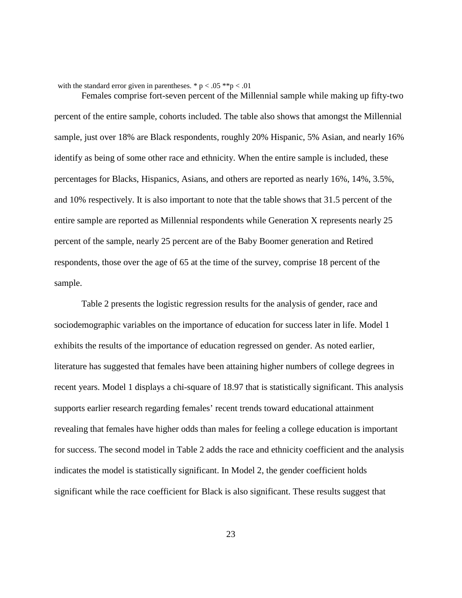with the standard error given in parentheses. \*  $p < .05$  \*\* $p < .01$ 

Females comprise fort-seven percent of the Millennial sample while making up fifty-two percent of the entire sample, cohorts included. The table also shows that amongst the Millennial sample, just over 18% are Black respondents, roughly 20% Hispanic, 5% Asian, and nearly 16% identify as being of some other race and ethnicity. When the entire sample is included, these percentages for Blacks, Hispanics, Asians, and others are reported as nearly 16%, 14%, 3.5%, and 10% respectively. It is also important to note that the table shows that 31.5 percent of the entire sample are reported as Millennial respondents while Generation X represents nearly 25 percent of the sample, nearly 25 percent are of the Baby Boomer generation and Retired respondents, those over the age of 65 at the time of the survey, comprise 18 percent of the sample.

Table 2 presents the logistic regression results for the analysis of gender, race and sociodemographic variables on the importance of education for success later in life. Model 1 exhibits the results of the importance of education regressed on gender. As noted earlier, literature has suggested that females have been attaining higher numbers of college degrees in recent years. Model 1 displays a chi-square of 18.97 that is statistically significant. This analysis supports earlier research regarding females' recent trends toward educational attainment revealing that females have higher odds than males for feeling a college education is important for success. The second model in Table 2 adds the race and ethnicity coefficient and the analysis indicates the model is statistically significant. In Model 2, the gender coefficient holds significant while the race coefficient for Black is also significant. These results suggest that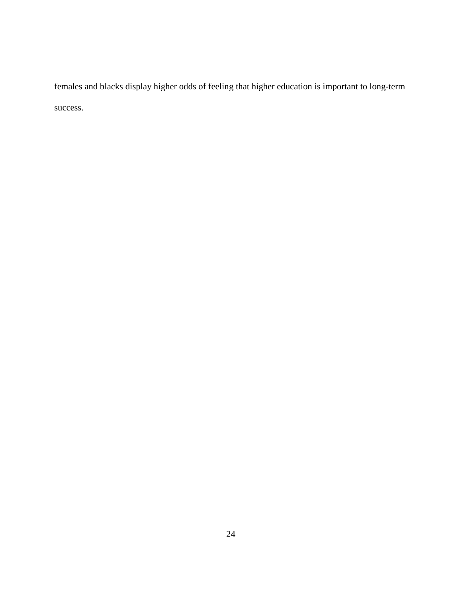females and blacks display higher odds of feeling that higher education is important to long-term success.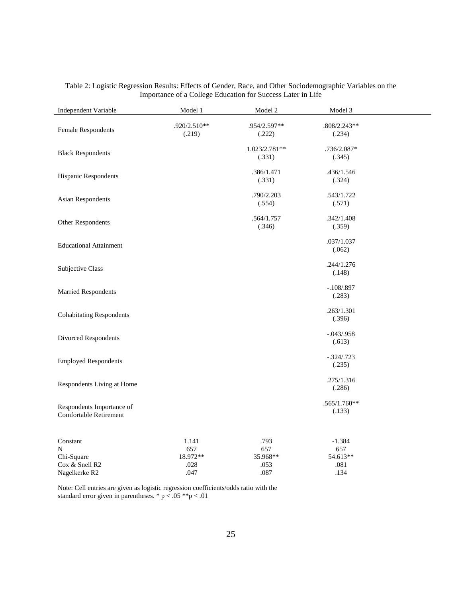| Independent Variable                                           | Model 1                                  | Model 2                                 | Model 3                                     |  |
|----------------------------------------------------------------|------------------------------------------|-----------------------------------------|---------------------------------------------|--|
| Female Respondents                                             | .920/2.510**<br>(.219)                   | .954/2.597**<br>(.222)                  | $.808/2.243**$<br>(.234)                    |  |
| <b>Black Respondents</b>                                       |                                          | 1.023/2.781**<br>(.331)                 | .736/2.087*<br>(.345)                       |  |
| Hispanic Respondents                                           |                                          | .386/1.471<br>(.331)                    | .436/1.546<br>(.324)                        |  |
| <b>Asian Respondents</b>                                       |                                          | .790/2.203<br>(.554)                    | .543/1.722<br>(.571)                        |  |
| Other Respondents                                              |                                          | .564/1.757<br>(.346)                    | .342/1.408<br>(.359)                        |  |
| <b>Educational Attainment</b>                                  |                                          |                                         | .037/1.037<br>(.062)                        |  |
| Subjective Class                                               |                                          |                                         | .244/1.276<br>(.148)                        |  |
| Married Respondents                                            |                                          |                                         | $-.108/.897$<br>(.283)                      |  |
| <b>Cohabitating Respondents</b>                                |                                          |                                         | .263/1.301<br>(.396)                        |  |
| Divorced Respondents                                           |                                          |                                         | $-.043/.958$<br>(.613)                      |  |
| <b>Employed Respondents</b>                                    |                                          |                                         | $-.324/.723$<br>(.235)                      |  |
| Respondents Living at Home                                     |                                          |                                         | .275/1.316<br>(.286)                        |  |
| Respondents Importance of<br><b>Comfortable Retirement</b>     |                                          |                                         | $.565/1.760**$<br>(.133)                    |  |
| Constant<br>N<br>Chi-Square<br>Cox & Snell R2<br>Nagelkerke R2 | 1.141<br>657<br>18.972**<br>.028<br>.047 | .793<br>657<br>35.968**<br>.053<br>.087 | $-1.384$<br>657<br>54.613**<br>.081<br>.134 |  |

#### <span id="page-30-0"></span>Table 2: Logistic Regression Results: Effects of Gender, Race, and Other Sociodemographic Variables on the Importance of a College Education for Success Later in Life

Note: Cell entries are given as logistic regression coefficients/odds ratio with the standard error given in parentheses.  $* p < .05 **p < .01$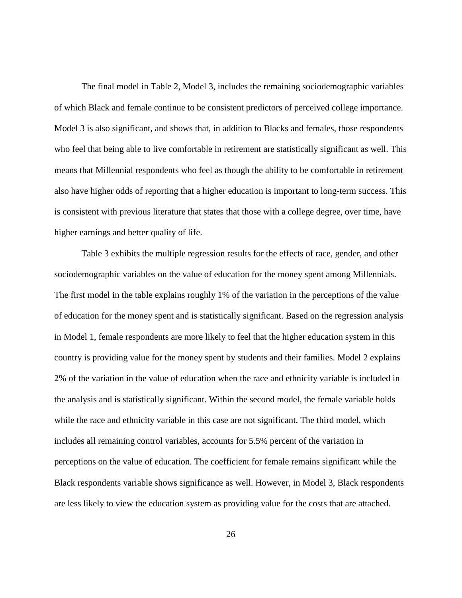The final model in Table 2, Model 3, includes the remaining sociodemographic variables of which Black and female continue to be consistent predictors of perceived college importance. Model 3 is also significant, and shows that, in addition to Blacks and females, those respondents who feel that being able to live comfortable in retirement are statistically significant as well. This means that Millennial respondents who feel as though the ability to be comfortable in retirement also have higher odds of reporting that a higher education is important to long-term success. This is consistent with previous literature that states that those with a college degree, over time, have higher earnings and better quality of life.

Table 3 exhibits the multiple regression results for the effects of race, gender, and other sociodemographic variables on the value of education for the money spent among Millennials. The first model in the table explains roughly 1% of the variation in the perceptions of the value of education for the money spent and is statistically significant. Based on the regression analysis in Model 1, female respondents are more likely to feel that the higher education system in this country is providing value for the money spent by students and their families. Model 2 explains 2% of the variation in the value of education when the race and ethnicity variable is included in the analysis and is statistically significant. Within the second model, the female variable holds while the race and ethnicity variable in this case are not significant. The third model, which includes all remaining control variables, accounts for 5.5% percent of the variation in perceptions on the value of education. The coefficient for female remains significant while the Black respondents variable shows significance as well. However, in Model 3, Black respondents are less likely to view the education system as providing value for the costs that are attached.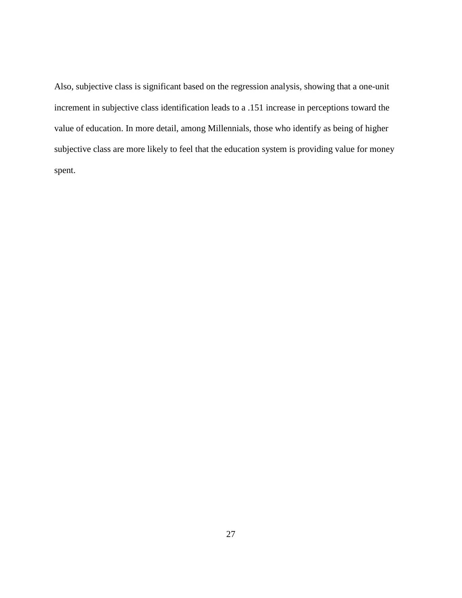Also, subjective class is significant based on the regression analysis, showing that a one-unit increment in subjective class identification leads to a .151 increase in perceptions toward the value of education. In more detail, among Millennials, those who identify as being of higher subjective class are more likely to feel that the education system is providing value for money spent.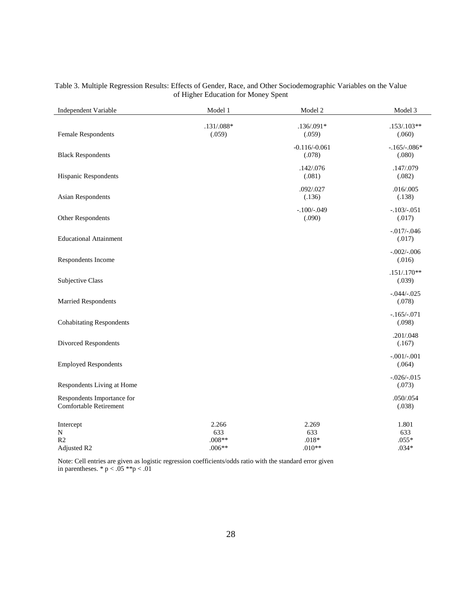| Independent Variable                                      | Model 1                              | Model 2                             | Model 3                            |
|-----------------------------------------------------------|--------------------------------------|-------------------------------------|------------------------------------|
| <b>Female Respondents</b>                                 | $.131/.088*$<br>(.059)               | $.136/.091*$<br>(.059)              | $.153/.103**$<br>(.060)            |
| <b>Black Respondents</b>                                  |                                      | $-0.116/-0.061$<br>(.078)           | $-.165/-086*$<br>(.080)            |
| Hispanic Respondents                                      |                                      | .142/.076<br>(.081)                 | .147/.079<br>(.082)                |
| <b>Asian Respondents</b>                                  |                                      | .092/.027<br>(.136)                 | .016/.005<br>(.138)                |
| Other Respondents                                         |                                      | $-.100/-049$<br>(.090)              | $-.103/-.051$<br>(.017)            |
| <b>Educational Attainment</b>                             |                                      |                                     | $-0.017/-0.046$<br>(.017)          |
| Respondents Income                                        |                                      |                                     | $-.002/-006$<br>(.016)             |
| Subjective Class                                          |                                      |                                     | $.151/.170**$<br>(.039)            |
| Married Respondents                                       |                                      |                                     | $-.044/-.025$<br>(.078)            |
| <b>Cohabitating Respondents</b>                           |                                      |                                     | $-.165/-.071$<br>(.098)            |
| Divorced Respondents                                      |                                      |                                     | .201/.048<br>(.167)                |
| <b>Employed Respondents</b>                               |                                      |                                     | $-.001/-001$<br>(.064)             |
| Respondents Living at Home                                |                                      |                                     | $-.026/-.015$<br>(.073)            |
| Respondents Importance for<br>Comfortable Retirement      |                                      |                                     | .050/.054<br>(.038)                |
| Intercept<br>$\mathbf N$<br>R <sub>2</sub><br>Adjusted R2 | 2.266<br>633<br>$.008**$<br>$.006**$ | 2.269<br>633<br>$.018*$<br>$.010**$ | 1.801<br>633<br>$.055*$<br>$.034*$ |

#### <span id="page-33-0"></span>Table 3. Multiple Regression Results: Effects of Gender, Race, and Other Sociodemographic Variables on the Value of Higher Education for Money Spent

Note: Cell entries are given as logistic regression coefficients/odds ratio with the standard error given in parentheses. \* p < .05 \*\*p < .01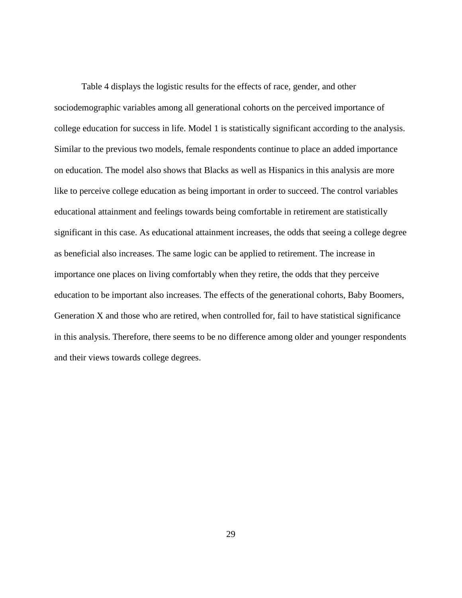Table 4 displays the logistic results for the effects of race, gender, and other sociodemographic variables among all generational cohorts on the perceived importance of college education for success in life. Model 1 is statistically significant according to the analysis. Similar to the previous two models, female respondents continue to place an added importance on education. The model also shows that Blacks as well as Hispanics in this analysis are more like to perceive college education as being important in order to succeed. The control variables educational attainment and feelings towards being comfortable in retirement are statistically significant in this case. As educational attainment increases, the odds that seeing a college degree as beneficial also increases. The same logic can be applied to retirement. The increase in importance one places on living comfortably when they retire, the odds that they perceive education to be important also increases. The effects of the generational cohorts, Baby Boomers, Generation X and those who are retired, when controlled for, fail to have statistical significance in this analysis. Therefore, there seems to be no difference among older and younger respondents and their views towards college degrees.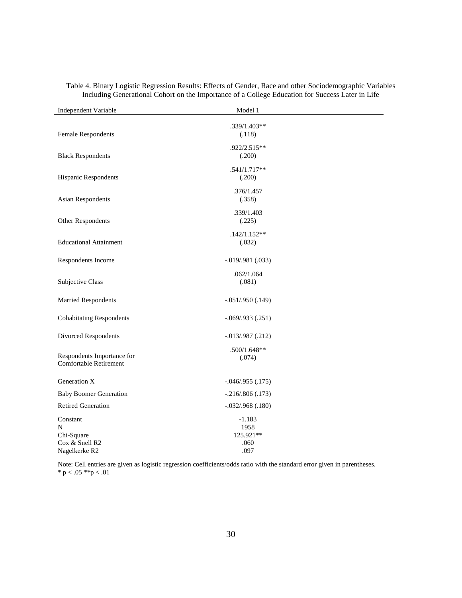| Independent Variable                                                       | Model 1                                       |  |
|----------------------------------------------------------------------------|-----------------------------------------------|--|
| Female Respondents                                                         | .339/1.403**<br>(.118)                        |  |
| <b>Black Respondents</b>                                                   | .922/2.515**<br>(.200)                        |  |
| <b>Hispanic Respondents</b>                                                | $.541/1.717**$<br>(.200)                      |  |
| <b>Asian Respondents</b>                                                   | .376/1.457<br>(.358)                          |  |
| Other Respondents                                                          | .339/1.403<br>(.225)                          |  |
| <b>Educational Attainment</b>                                              | $.142/1.152**$<br>(.032)                      |  |
| Respondents Income                                                         | $-0.019/0.981(0.033)$                         |  |
| Subjective Class                                                           | .062/1.064<br>(.081)                          |  |
| <b>Married Respondents</b>                                                 | $-.051/.950(.149)$                            |  |
| <b>Cohabitating Respondents</b>                                            | $-.069/.933(.251)$                            |  |
| Divorced Respondents                                                       | $-.013/.987(.212)$                            |  |
| Respondents Importance for<br><b>Comfortable Retirement</b>                | $.500/1.648**$<br>(.074)                      |  |
| Generation X                                                               | $-.046/.955(.175)$                            |  |
| <b>Baby Boomer Generation</b>                                              | $-.216/.806(.173)$                            |  |
| <b>Retired Generation</b>                                                  | $-.032/.968(.180)$                            |  |
| Constant<br>N<br>Chi-Square<br>Cox & Snell R2<br>Nagelkerke R <sub>2</sub> | $-1.183$<br>1958<br>125.921**<br>.060<br>.097 |  |

<span id="page-35-0"></span>Table 4. Binary Logistic Regression Results: Effects of Gender, Race and other Sociodemographic Variables Including Generational Cohort on the Importance of a College Education for Success Later in Life

Note: Cell entries are given as logistic regression coefficients/odds ratio with the standard error given in parentheses. \* p < .05 \*\*p < .01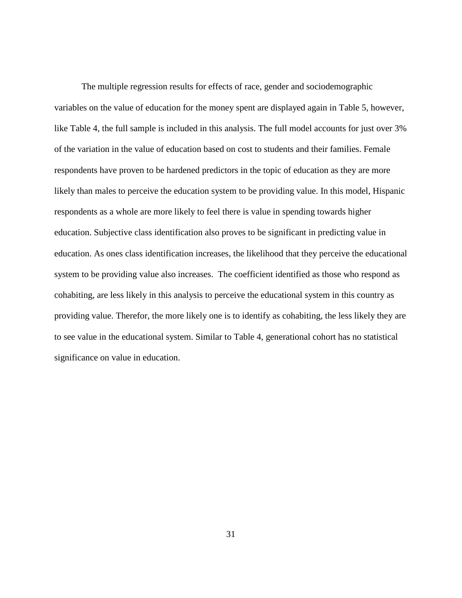The multiple regression results for effects of race, gender and sociodemographic variables on the value of education for the money spent are displayed again in Table 5, however, like Table 4, the full sample is included in this analysis. The full model accounts for just over 3% of the variation in the value of education based on cost to students and their families. Female respondents have proven to be hardened predictors in the topic of education as they are more likely than males to perceive the education system to be providing value. In this model, Hispanic respondents as a whole are more likely to feel there is value in spending towards higher education. Subjective class identification also proves to be significant in predicting value in education. As ones class identification increases, the likelihood that they perceive the educational system to be providing value also increases. The coefficient identified as those who respond as cohabiting, are less likely in this analysis to perceive the educational system in this country as providing value. Therefor, the more likely one is to identify as cohabiting, the less likely they are to see value in the educational system. Similar to Table 4, generational cohort has no statistical significance on value in education.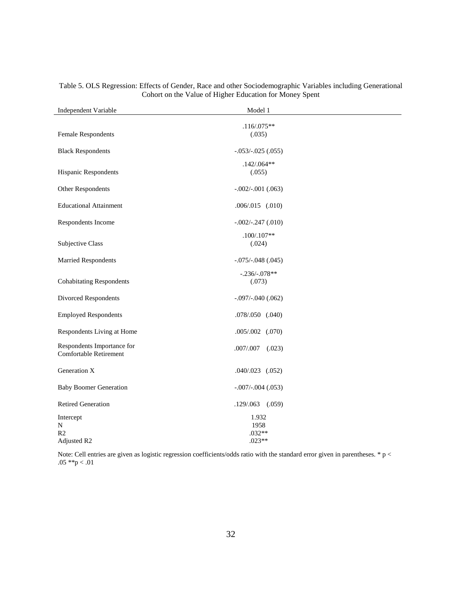| Independent Variable                                    | Model 1                               |  |
|---------------------------------------------------------|---------------------------------------|--|
| <b>Female Respondents</b>                               | $.116/.075**$<br>(.035)               |  |
| <b>Black Respondents</b>                                | $-.053/-025(.055)$                    |  |
| Hispanic Respondents                                    | $.142/.064**$<br>(.055)               |  |
| Other Respondents                                       | $-.002/-.001(.063)$                   |  |
| <b>Educational Attainment</b>                           | $.006/.015$ $(.010)$                  |  |
| Respondents Income                                      | $-.002/-.247(.010)$                   |  |
| Subjective Class                                        | $.100/.107**$<br>(.024)               |  |
| <b>Married Respondents</b>                              | $-.075/-048(.045)$                    |  |
| <b>Cohabitating Respondents</b>                         | $-.236/-.078**$<br>(.073)             |  |
| Divorced Respondents                                    | $-.097/-040(.062)$                    |  |
| <b>Employed Respondents</b>                             | .078/.050 (.040)                      |  |
| Respondents Living at Home                              | $.005/.002$ $(.070)$                  |  |
| Respondents Importance for<br>Comfortable Retirement    | $.007/.007$ $(.023)$                  |  |
| Generation X                                            | $.040/.023$ $(.052)$                  |  |
| <b>Baby Boomer Generation</b>                           | $-.007/-004(.053)$                    |  |
| <b>Retired Generation</b>                               | $.129/.063$ $(.059)$                  |  |
| Intercept<br>${\bf N}$<br>R <sub>2</sub><br>Adjusted R2 | 1.932<br>1958<br>$.032**$<br>$.023**$ |  |

#### <span id="page-37-0"></span>Table 5. OLS Regression: Effects of Gender, Race and other Sociodemographic Variables including Generational Cohort on the Value of Higher Education for Money Spent

Note: Cell entries are given as logistic regression coefficients/odds ratio with the standard error given in parentheses. \* p < .05 \*\*p < .01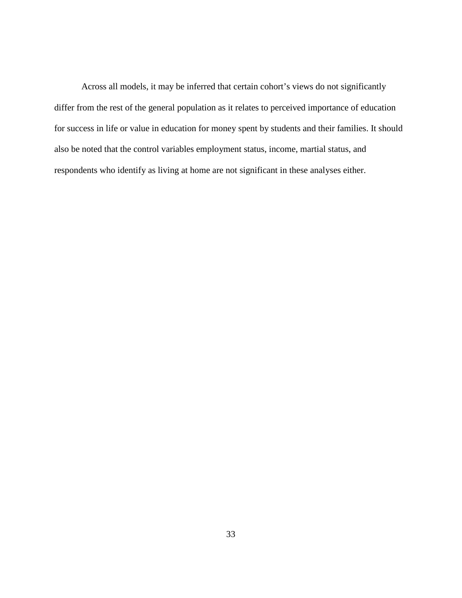Across all models, it may be inferred that certain cohort's views do not significantly differ from the rest of the general population as it relates to perceived importance of education for success in life or value in education for money spent by students and their families. It should also be noted that the control variables employment status, income, martial status, and respondents who identify as living at home are not significant in these analyses either.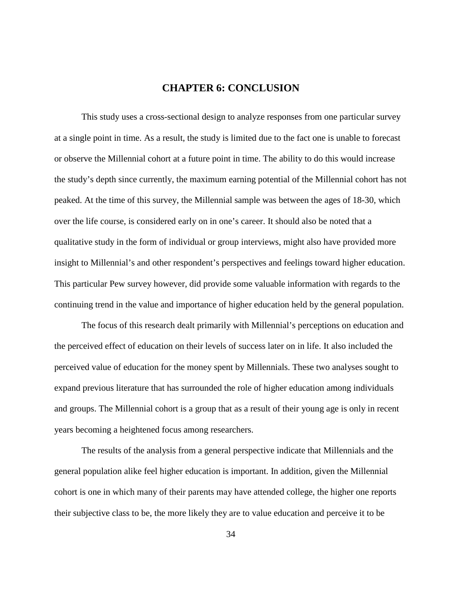## **CHAPTER 6: CONCLUSION**

<span id="page-39-0"></span>This study uses a cross-sectional design to analyze responses from one particular survey at a single point in time. As a result, the study is limited due to the fact one is unable to forecast or observe the Millennial cohort at a future point in time. The ability to do this would increase the study's depth since currently, the maximum earning potential of the Millennial cohort has not peaked. At the time of this survey, the Millennial sample was between the ages of 18-30, which over the life course, is considered early on in one's career. It should also be noted that a qualitative study in the form of individual or group interviews, might also have provided more insight to Millennial's and other respondent's perspectives and feelings toward higher education. This particular Pew survey however, did provide some valuable information with regards to the continuing trend in the value and importance of higher education held by the general population.

The focus of this research dealt primarily with Millennial's perceptions on education and the perceived effect of education on their levels of success later on in life. It also included the perceived value of education for the money spent by Millennials. These two analyses sought to expand previous literature that has surrounded the role of higher education among individuals and groups. The Millennial cohort is a group that as a result of their young age is only in recent years becoming a heightened focus among researchers.

The results of the analysis from a general perspective indicate that Millennials and the general population alike feel higher education is important. In addition, given the Millennial cohort is one in which many of their parents may have attended college, the higher one reports their subjective class to be, the more likely they are to value education and perceive it to be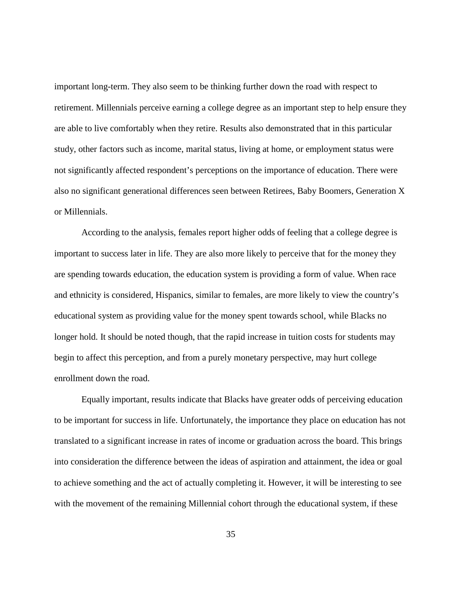important long-term. They also seem to be thinking further down the road with respect to retirement. Millennials perceive earning a college degree as an important step to help ensure they are able to live comfortably when they retire. Results also demonstrated that in this particular study, other factors such as income, marital status, living at home, or employment status were not significantly affected respondent's perceptions on the importance of education. There were also no significant generational differences seen between Retirees, Baby Boomers, Generation X or Millennials.

According to the analysis, females report higher odds of feeling that a college degree is important to success later in life. They are also more likely to perceive that for the money they are spending towards education, the education system is providing a form of value. When race and ethnicity is considered, Hispanics, similar to females, are more likely to view the country's educational system as providing value for the money spent towards school, while Blacks no longer hold. It should be noted though, that the rapid increase in tuition costs for students may begin to affect this perception, and from a purely monetary perspective, may hurt college enrollment down the road.

Equally important, results indicate that Blacks have greater odds of perceiving education to be important for success in life. Unfortunately, the importance they place on education has not translated to a significant increase in rates of income or graduation across the board. This brings into consideration the difference between the ideas of aspiration and attainment, the idea or goal to achieve something and the act of actually completing it. However, it will be interesting to see with the movement of the remaining Millennial cohort through the educational system, if these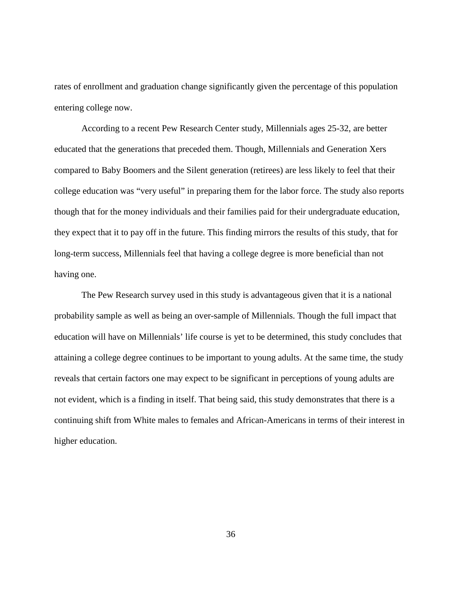rates of enrollment and graduation change significantly given the percentage of this population entering college now.

According to a recent Pew Research Center study, Millennials ages 25-32, are better educated that the generations that preceded them. Though, Millennials and Generation Xers compared to Baby Boomers and the Silent generation (retirees) are less likely to feel that their college education was "very useful" in preparing them for the labor force. The study also reports though that for the money individuals and their families paid for their undergraduate education, they expect that it to pay off in the future. This finding mirrors the results of this study, that for long-term success, Millennials feel that having a college degree is more beneficial than not having one.

The Pew Research survey used in this study is advantageous given that it is a national probability sample as well as being an over-sample of Millennials. Though the full impact that education will have on Millennials' life course is yet to be determined, this study concludes that attaining a college degree continues to be important to young adults. At the same time, the study reveals that certain factors one may expect to be significant in perceptions of young adults are not evident, which is a finding in itself. That being said, this study demonstrates that there is a continuing shift from White males to females and African-Americans in terms of their interest in higher education.

36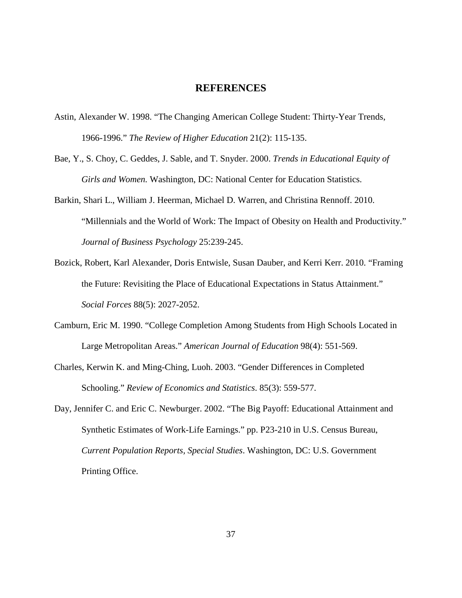#### **REFERENCES**

- <span id="page-42-0"></span>Astin, Alexander W. 1998. "The Changing American College Student: Thirty-Year Trends, 1966-1996." *The Review of Higher Education* 21(2): 115-135.
- Bae, Y., S. Choy, C. Geddes, J. Sable, and T. Snyder. 2000. *Trends in Educational Equity of Girls and Women.* Washington, DC: National Center for Education Statistics.
- Barkin, Shari L., William J. Heerman, Michael D. Warren, and Christina Rennoff. 2010. "Millennials and the World of Work: The Impact of Obesity on Health and Productivity." *Journal of Business Psychology* 25:239-245.
- Bozick, Robert, Karl Alexander, Doris Entwisle, Susan Dauber, and Kerri Kerr. 2010. "Framing the Future: Revisiting the Place of Educational Expectations in Status Attainment." *Social Forces* 88(5): 2027-2052.
- Camburn, Eric M. 1990. "College Completion Among Students from High Schools Located in Large Metropolitan Areas." *American Journal of Education* 98(4): 551-569.
- Charles, Kerwin K. and Ming-Ching, Luoh. 2003. "Gender Differences in Completed Schooling." *Review of Economics and Statistics*. 85(3): 559-577.
- Day, Jennifer C. and Eric C. Newburger. 2002. "The Big Payoff: Educational Attainment and Synthetic Estimates of Work-Life Earnings." pp. P23-210 in U.S. Census Bureau, *Current Population Reports, Special Studies*. Washington, DC: U.S. Government Printing Office.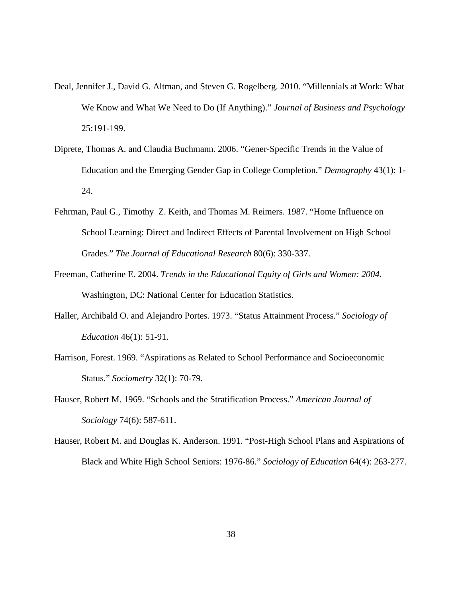- Deal, Jennifer J., David G. Altman, and Steven G. Rogelberg. 2010. "Millennials at Work: What We Know and What We Need to Do (If Anything)." *Journal of Business and Psychology* 25:191-199.
- Diprete, Thomas A. and Claudia Buchmann. 2006. "Gener-Specific Trends in the Value of Education and the Emerging Gender Gap in College Completion." *Demography* 43(1): 1- 24.
- Fehrman, Paul G., Timothy Z. Keith, and Thomas M. Reimers. 1987. "Home Influence on School Learning: Direct and Indirect Effects of Parental Involvement on High School Grades." *The Journal of Educational Research* 80(6): 330-337.
- Freeman, Catherine E. 2004. *Trends in the Educational Equity of Girls and Women: 2004.* Washington, DC: National Center for Education Statistics.
- Haller, Archibald O. and Alejandro Portes. 1973. "Status Attainment Process." *Sociology of Education* 46(1): 51-91.
- Harrison, Forest. 1969. "Aspirations as Related to School Performance and Socioeconomic Status." *Sociometry* 32(1): 70-79.
- Hauser, Robert M. 1969. "Schools and the Stratification Process." *American Journal of Sociology* 74(6): 587-611.
- Hauser, Robert M. and Douglas K. Anderson. 1991. "Post-High School Plans and Aspirations of Black and White High School Seniors: 1976-86." *Sociology of Education* 64(4): 263-277.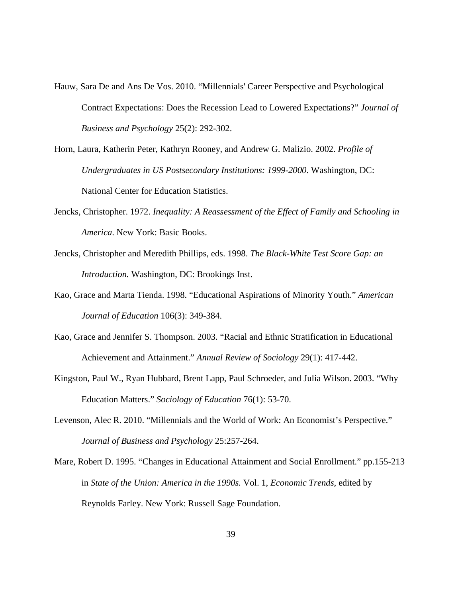- Hauw, Sara De and Ans De Vos. 2010. "Millennials' Career Perspective and Psychological Contract Expectations: Does the Recession Lead to Lowered Expectations?" *Journal of Business and Psychology* 25(2): 292-302.
- Horn, Laura, Katherin Peter, Kathryn Rooney, and Andrew G. Malizio. 2002. *Profile of Undergraduates in US Postsecondary Institutions: 1999-2000*. Washington, DC: National Center for Education Statistics.
- Jencks, Christopher. 1972. *Inequality: A Reassessment of the Effect of Family and Schooling in America*. New York: Basic Books.
- Jencks, Christopher and Meredith Phillips, eds. 1998. *The Black-White Test Score Gap: an Introduction.* Washington, DC: Brookings Inst.
- Kao, Grace and Marta Tienda. 1998. "Educational Aspirations of Minority Youth." *American Journal of Education* 106(3): 349-384.
- Kao, Grace and Jennifer S. Thompson. 2003. "Racial and Ethnic Stratification in Educational Achievement and Attainment." *Annual Review of Sociology* 29(1): 417-442.
- Kingston, Paul W., Ryan Hubbard, Brent Lapp, Paul Schroeder, and Julia Wilson. 2003. "Why Education Matters." *Sociology of Education* 76(1): 53-70.
- Levenson, Alec R. 2010. "Millennials and the World of Work: An Economist's Perspective." *Journal of Business and Psychology* 25:257-264.
- Mare, Robert D. 1995. "Changes in Educational Attainment and Social Enrollment." pp.155-213 in *State of the Union: America in the 1990s.* Vol. 1, *Economic Trends,* edited by Reynolds Farley. New York: Russell Sage Foundation.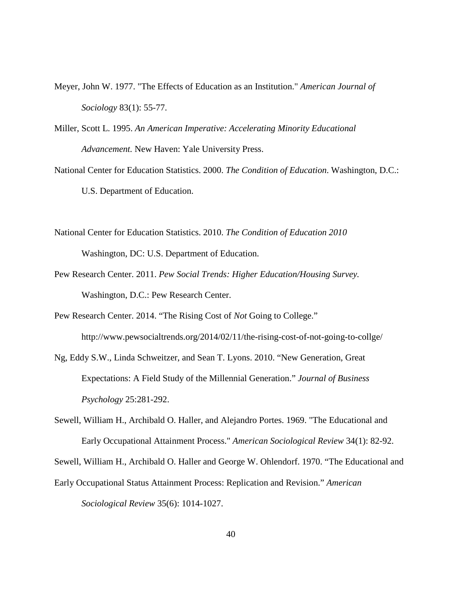- Meyer, John W. 1977. "The Effects of Education as an Institution." *American Journal of Sociology* 83(1): 55-77.
- Miller, Scott L. 1995. *An American Imperative: Accelerating Minority Educational Advancement.* New Haven: Yale University Press.
- National Center for Education Statistics. 2000. *The Condition of Education*. Washington, D.C.: U.S. Department of Education.
- National Center for Education Statistics. 2010. *The Condition of Education 2010* Washington, DC: U.S. Department of Education.
- Pew Research Center. 2011. *Pew Social Trends: Higher Education/Housing Survey.* Washington, D.C.: Pew Research Center.
- Pew Research Center. 2014. "The Rising Cost of *Not* Going to College."

http://www.pewsocialtrends.org/2014/02/11/the-rising-cost-of-not-going-to-collge/

- Ng, Eddy S.W., Linda Schweitzer, and Sean T. Lyons. 2010. "New Generation, Great Expectations: A Field Study of the Millennial Generation." *Journal of Business Psychology* 25:281-292.
- Sewell, William H., Archibald O. Haller, and Alejandro Portes. 1969. "The Educational and Early Occupational Attainment Process." *American Sociological Review* 34(1): 82-92.

Sewell, William H., Archibald O. Haller and George W. Ohlendorf. 1970. "The Educational and

Early Occupational Status Attainment Process: Replication and Revision." *American Sociological Review* 35(6): 1014-1027.